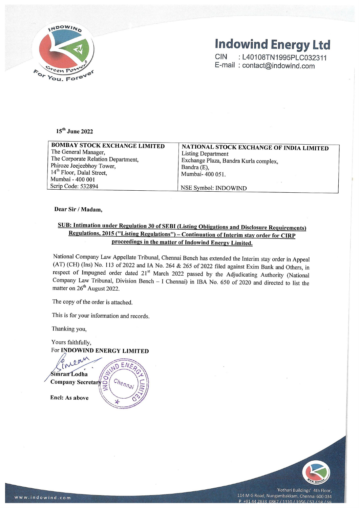

# Indowind Energy Ltd

### 15™ June 2022

| INDOWIND                                                           |                                                                                               |
|--------------------------------------------------------------------|-----------------------------------------------------------------------------------------------|
|                                                                    | <b>Indowind Energy Ltd</b>                                                                    |
|                                                                    | <b>CIN</b><br>: L40108TN1995PLC032311                                                         |
|                                                                    | E-mail: contact@indowind.com                                                                  |
| <sup>Sreen</sup> Po<br>You. Forever                                |                                                                                               |
|                                                                    |                                                                                               |
|                                                                    |                                                                                               |
|                                                                    |                                                                                               |
|                                                                    |                                                                                               |
| 15 <sup>th</sup> June 2022                                         |                                                                                               |
| <b>BOMBAY STOCK EXCHANGE LIMITED</b>                               | NATIONAL STOCK EXCHANGE OF INDIA LIMITED                                                      |
| The General Manager,                                               | <b>Listing Department</b>                                                                     |
| The Corporate Relation Department,                                 | Exchange Plaza, Bandra Kurla complex,                                                         |
| Phiroze Jeejeebhoy Tower,<br>14 <sup>th</sup> Floor, Dalal Street, | Bandra (E),                                                                                   |
| Mumbai - 400 001                                                   | Mumbai- 400 051.                                                                              |
| Scrip Code: 532894                                                 | NSE Symbol: INDOWIND                                                                          |
|                                                                    |                                                                                               |
| Dear Sir / Madam,                                                  |                                                                                               |
|                                                                    |                                                                                               |
|                                                                    | SUB: Intimation under Regulation 30 of SEBI (Listing Obligations and Disclosure Requirements) |

#### Dear Sir / Madam,

### SUB: Intimation under Regulation 30 of SEBI (Listing Obligations and Disclosure Requirements) Regulations, 2015 ("Listing Regulations") — Continuation of Interim stay order for CIRP proceedings in the matter of Indowind Energy Limited.

National Company Law Appellate Tribunal, Chennai Bench has extended the Interim stay order in Appeal (AT) (CH) (Ins) No. 113 of 2022 and IA No. 264 & 265 of 2022 filed against Exim Bank and Others, in respect of Impugned

The copy of the order is attached.

This is for your information and records.

Thanking you,

Yours faithfully, For INDOWIND ENERGY LIMITED faithfully,<br>**DOWIND EN**<br>*N*eam

 $EN/$ 



Encl: As above



'Kothari Buildings' 4th Floor, 114 M G Road, Nungambakkam, Chennai 600 034  $P$  +91 44 2833 0867 / 1310 / 1956 / 57 / 58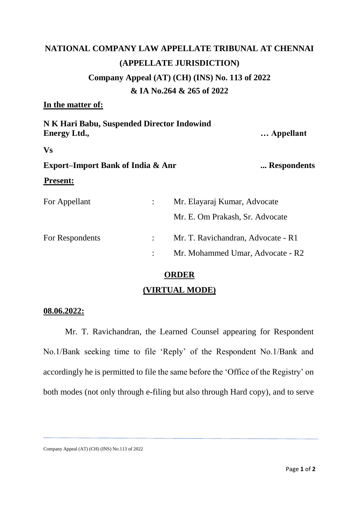## **NATIONAL COMPANY LAW APPELLATE TRIBUNAL AT CHENNAI (APPELLATE JURISDICTION) Company Appeal (AT) (CH) (INS) No. 113 of 2022 & IA No.264 & 265 of 2022**

### **In the matter of:**

| N K Hari Babu, Suspended Director Indowind<br><b>Energy Ltd.,</b> |                | Appellant                          |             |
|-------------------------------------------------------------------|----------------|------------------------------------|-------------|
| <b>Vs</b>                                                         |                |                                    |             |
| <b>Export-Import Bank of India &amp; Anr</b>                      |                |                                    | Respondents |
| <b>Present:</b>                                                   |                |                                    |             |
| For Appellant                                                     | ÷              | Mr. Elayaraj Kumar, Advocate       |             |
|                                                                   |                | Mr. E. Om Prakash, Sr. Advocate    |             |
| For Respondents                                                   | $\ddot{\cdot}$ | Mr. T. Ravichandran, Advocate - R1 |             |
|                                                                   |                | Mr. Mohammed Umar, Advocate - R2   |             |
|                                                                   |                |                                    |             |

### **ORDER**

### **(VIRTUAL MODE)**

### **08.06.2022:**

Mr. T. Ravichandran, the Learned Counsel appearing for Respondent No.1/Bank seeking time to file 'Reply' of the Respondent No.1/Bank and accordingly he is permitted to file the same before the 'Office of the Registry' on both modes (not only through e-filing but also through Hard copy), and to serve

Company Appeal (AT) (CH) (INS) No.113 of 2022